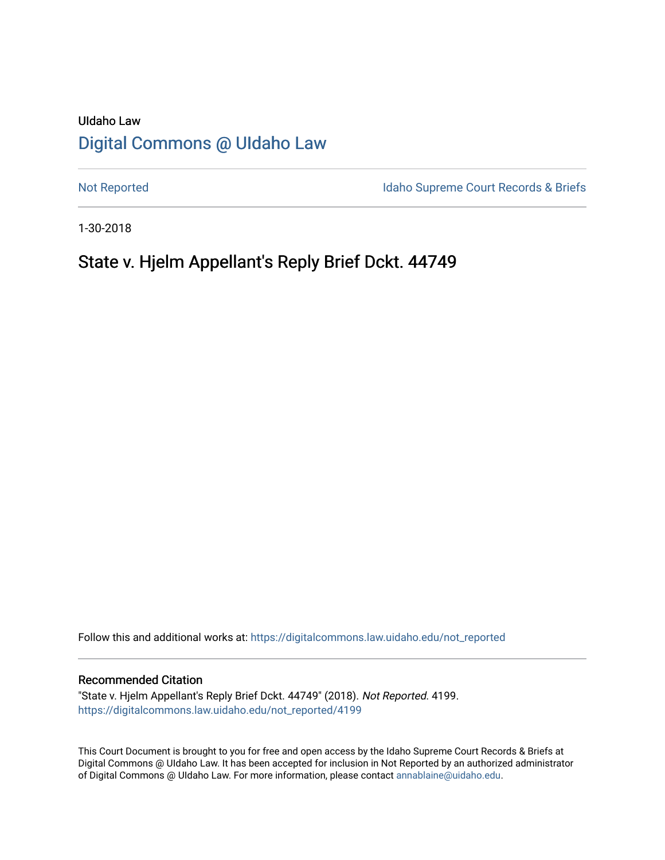# UIdaho Law [Digital Commons @ UIdaho Law](https://digitalcommons.law.uidaho.edu/)

[Not Reported](https://digitalcommons.law.uidaho.edu/not_reported) **Idaho Supreme Court Records & Briefs** 

1-30-2018

# State v. Hjelm Appellant's Reply Brief Dckt. 44749

Follow this and additional works at: [https://digitalcommons.law.uidaho.edu/not\\_reported](https://digitalcommons.law.uidaho.edu/not_reported?utm_source=digitalcommons.law.uidaho.edu%2Fnot_reported%2F4199&utm_medium=PDF&utm_campaign=PDFCoverPages) 

#### Recommended Citation

"State v. Hjelm Appellant's Reply Brief Dckt. 44749" (2018). Not Reported. 4199. [https://digitalcommons.law.uidaho.edu/not\\_reported/4199](https://digitalcommons.law.uidaho.edu/not_reported/4199?utm_source=digitalcommons.law.uidaho.edu%2Fnot_reported%2F4199&utm_medium=PDF&utm_campaign=PDFCoverPages)

This Court Document is brought to you for free and open access by the Idaho Supreme Court Records & Briefs at Digital Commons @ UIdaho Law. It has been accepted for inclusion in Not Reported by an authorized administrator of Digital Commons @ UIdaho Law. For more information, please contact [annablaine@uidaho.edu](mailto:annablaine@uidaho.edu).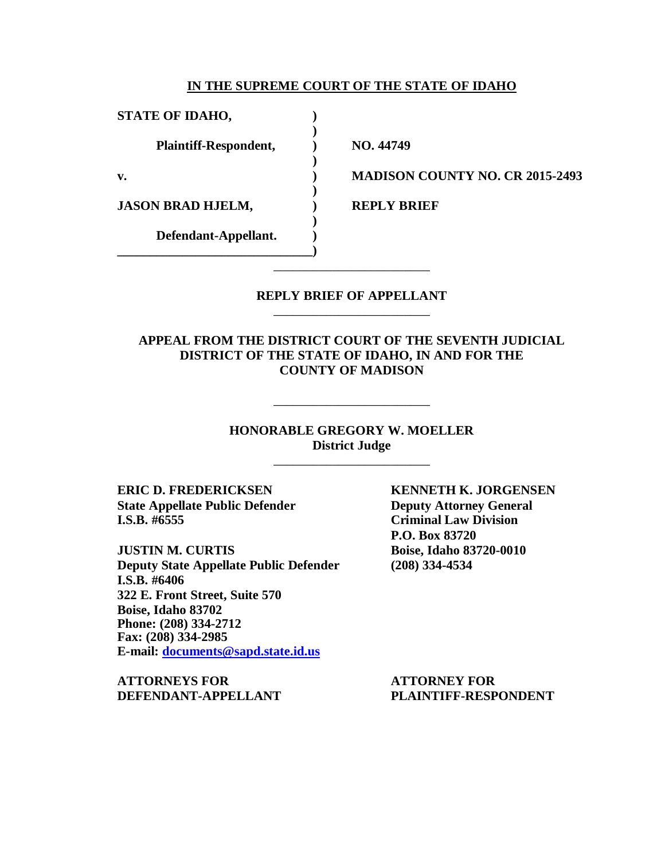### **IN THE SUPREME COURT OF THE STATE OF IDAHO**

**)**

**)**

**)**

**)**

**STATE OF IDAHO, ) Plaintiff-Respondent, ) NO. 44749 JASON BRAD HJELM, ) REPLY BRIEF Defendant-Appellant. )**

**\_\_\_\_\_\_\_\_\_\_\_\_\_\_\_\_\_\_\_\_\_\_\_\_\_\_\_\_\_\_)**

**v. ) MADISON COUNTY NO. CR 2015-2493**

## **REPLY BRIEF OF APPELLANT** \_\_\_\_\_\_\_\_\_\_\_\_\_\_\_\_\_\_\_\_\_\_\_\_

\_\_\_\_\_\_\_\_\_\_\_\_\_\_\_\_\_\_\_\_\_\_\_\_

**APPEAL FROM THE DISTRICT COURT OF THE SEVENTH JUDICIAL DISTRICT OF THE STATE OF IDAHO, IN AND FOR THE COUNTY OF MADISON**

> **HONORABLE GREGORY W. MOELLER District Judge**

> > \_\_\_\_\_\_\_\_\_\_\_\_\_\_\_\_\_\_\_\_\_\_\_\_

\_\_\_\_\_\_\_\_\_\_\_\_\_\_\_\_\_\_\_\_\_\_\_\_

**State Appellate Public Defender Deputy Attorney General I.S.B. #6555 Criminal Law Division**

**JUSTIN M. CURTIS Boise, Idaho 83720-0010 Deputy State Appellate Public Defender (208) 334-4534 I.S.B. #6406 322 E. Front Street, Suite 570 Boise, Idaho 83702 Phone: (208) 334-2712 Fax: (208) 334-2985 E-mail: [documents@sapd.state.id.us](mailto:documents@sapd.state.id.us)**

**ATTORNEYS FOR ATTORNEY FOR**

**ERIC D. FREDERICKSEN KENNETH K. JORGENSEN P.O. Box 83720**

**DEFENDANT-APPELLANT PLAINTIFF-RESPONDENT**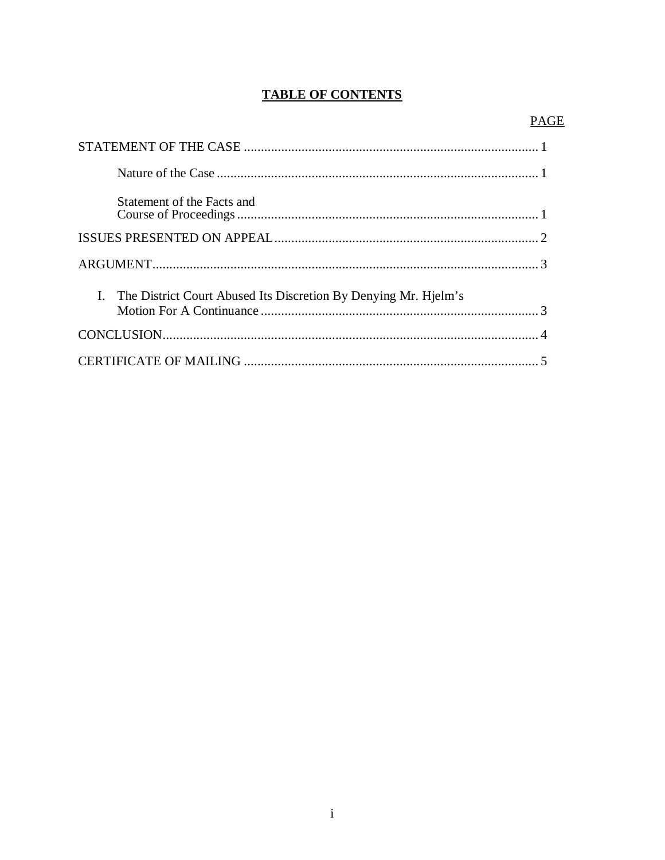# **TABLE OF CONTENTS**

| Statement of the Facts and                                         |  |
|--------------------------------------------------------------------|--|
|                                                                    |  |
|                                                                    |  |
| I. The District Court Abused Its Discretion By Denying Mr. Hielm's |  |
|                                                                    |  |
|                                                                    |  |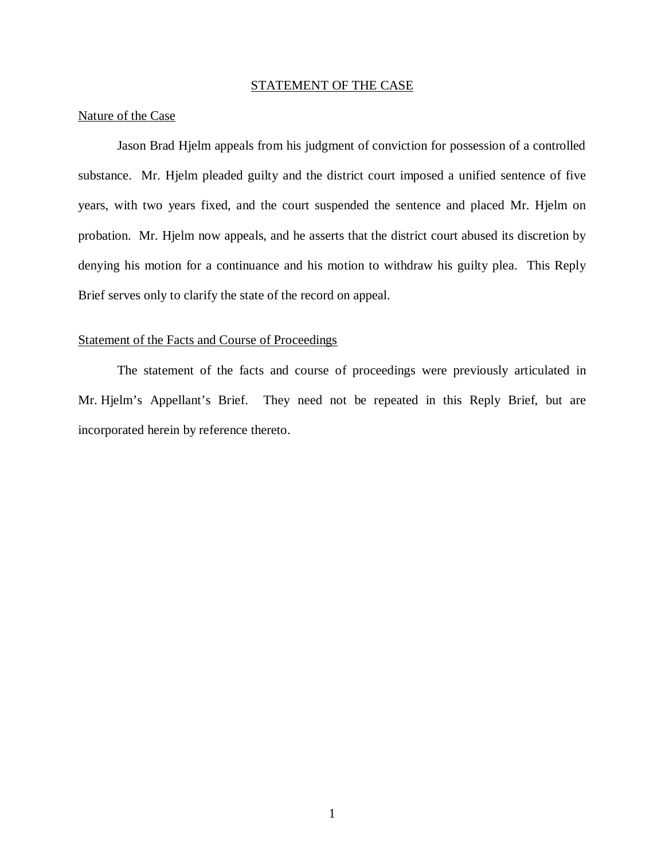### STATEMENT OF THE CASE

#### Nature of the Case

Jason Brad Hjelm appeals from his judgment of conviction for possession of a controlled substance. Mr. Hjelm pleaded guilty and the district court imposed a unified sentence of five years, with two years fixed, and the court suspended the sentence and placed Mr. Hjelm on probation. Mr. Hjelm now appeals, and he asserts that the district court abused its discretion by denying his motion for a continuance and his motion to withdraw his guilty plea. This Reply Brief serves only to clarify the state of the record on appeal.

## Statement of the Facts and Course of Proceedings

The statement of the facts and course of proceedings were previously articulated in Mr. Hjelm's Appellant's Brief. They need not be repeated in this Reply Brief, but are incorporated herein by reference thereto.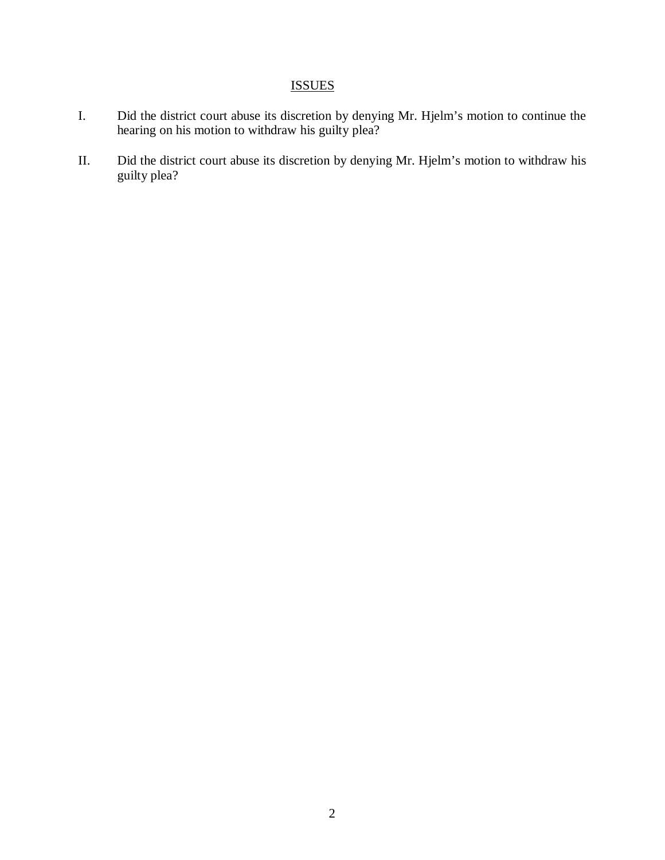# **ISSUES**

- I. Did the district court abuse its discretion by denying Mr. Hjelm's motion to continue the hearing on his motion to withdraw his guilty plea?
- II. Did the district court abuse its discretion by denying Mr. Hjelm's motion to withdraw his guilty plea?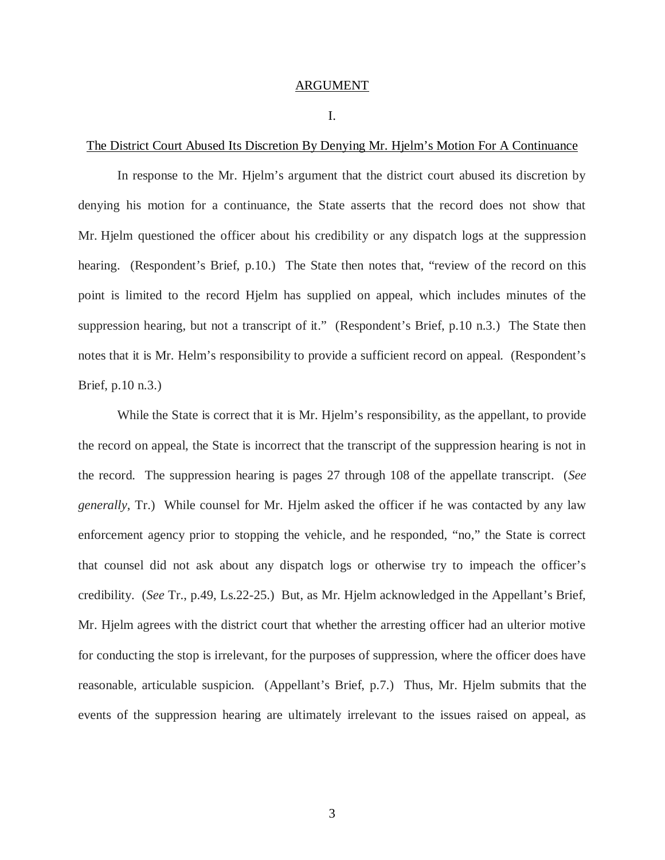## ARGUMENT

#### I.

#### The District Court Abused Its Discretion By Denying Mr. Hjelm's Motion For A Continuance

In response to the Mr. Hjelm's argument that the district court abused its discretion by denying his motion for a continuance, the State asserts that the record does not show that Mr. Hjelm questioned the officer about his credibility or any dispatch logs at the suppression hearing. (Respondent's Brief, p.10.) The State then notes that, "review of the record on this point is limited to the record Hjelm has supplied on appeal, which includes minutes of the suppression hearing, but not a transcript of it." (Respondent's Brief, p.10 n.3.) The State then notes that it is Mr. Helm's responsibility to provide a sufficient record on appeal. (Respondent's Brief, p.10 n.3.)

While the State is correct that it is Mr. Hjelm's responsibility, as the appellant, to provide the record on appeal, the State is incorrect that the transcript of the suppression hearing is not in the record. The suppression hearing is pages 27 through 108 of the appellate transcript. (*See generally*, Tr.) While counsel for Mr. Hjelm asked the officer if he was contacted by any law enforcement agency prior to stopping the vehicle, and he responded, "no," the State is correct that counsel did not ask about any dispatch logs or otherwise try to impeach the officer's credibility. (*See* Tr., p.49, Ls.22-25.) But, as Mr. Hjelm acknowledged in the Appellant's Brief, Mr. Hjelm agrees with the district court that whether the arresting officer had an ulterior motive for conducting the stop is irrelevant, for the purposes of suppression, where the officer does have reasonable, articulable suspicion. (Appellant's Brief, p.7.) Thus, Mr. Hjelm submits that the events of the suppression hearing are ultimately irrelevant to the issues raised on appeal, as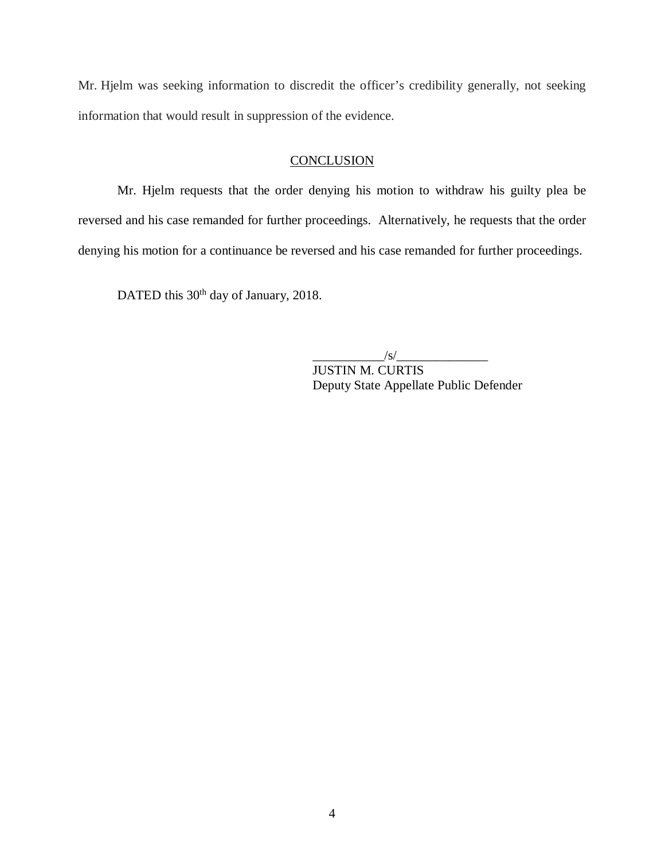Mr. Hjelm was seeking information to discredit the officer's credibility generally, not seeking information that would result in suppression of the evidence.

# **CONCLUSION**

Mr. Hjelm requests that the order denying his motion to withdraw his guilty plea be reversed and his case remanded for further proceedings. Alternatively, he requests that the order denying his motion for a continuance be reversed and his case remanded for further proceedings.

DATED this 30<sup>th</sup> day of January, 2018.

 $\frac{1}{s}$  /s/ $\frac{1}{s}$ 

JUSTIN M. CURTIS Deputy State Appellate Public Defender